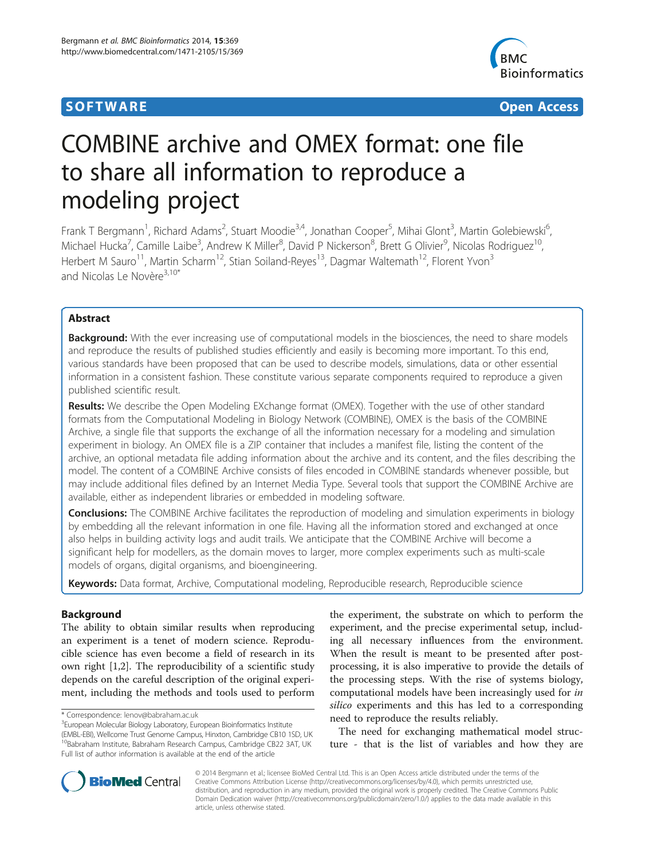## **SOFTWARE SOFTWARE** *CONSERVERSE EXECUTIVE EXECUTIVE EXECUTIVE EXECUTIVE EXECUTIVE EXECUTIVE EXECUTIVE EXECUTIVE EXECUTIVE EXECUTIVE EXECUTIVE EXECUTIVE EXECUTIVE EXECUTIVE EXECUTIVE EXECUTIVE EXECUTIVE EXECUTIVE EXECUT*



# COMBINE archive and OMEX format: one file to share all information to reproduce a modeling project

Frank T Bergmann<sup>1</sup>, Richard Adams<sup>2</sup>, Stuart Moodie<sup>3,4</sup>, Jonathan Cooper<sup>5</sup>, Mihai Glont<sup>3</sup>, Martin Golebiewski<sup>6</sup> , Michael Hucka<sup>7</sup>, Camille Laibe<sup>3</sup>, Andrew K Miller<sup>8</sup>, David P Nickerson<sup>8</sup>, Brett G Olivier<sup>9</sup>, Nicolas Rodriguez<sup>10</sup>, Herbert M Sauro<sup>11</sup>, Martin Scharm<sup>12</sup>, Stian Soiland-Reyes<sup>13</sup>, Dagmar Waltemath<sup>12</sup>, Florent Yvon<sup>3</sup> and Nicolas Le Novère<sup>3,10\*</sup>

## Abstract

**Background:** With the ever increasing use of computational models in the biosciences, the need to share models and reproduce the results of published studies efficiently and easily is becoming more important. To this end, various standards have been proposed that can be used to describe models, simulations, data or other essential information in a consistent fashion. These constitute various separate components required to reproduce a given published scientific result.

Results: We describe the Open Modeling EXchange format (OMEX). Together with the use of other standard formats from the Computational Modeling in Biology Network (COMBINE), OMEX is the basis of the COMBINE Archive, a single file that supports the exchange of all the information necessary for a modeling and simulation experiment in biology. An OMEX file is a ZIP container that includes a manifest file, listing the content of the archive, an optional metadata file adding information about the archive and its content, and the files describing the model. The content of a COMBINE Archive consists of files encoded in COMBINE standards whenever possible, but may include additional files defined by an Internet Media Type. Several tools that support the COMBINE Archive are available, either as independent libraries or embedded in modeling software.

Conclusions: The COMBINE Archive facilitates the reproduction of modeling and simulation experiments in biology by embedding all the relevant information in one file. Having all the information stored and exchanged at once also helps in building activity logs and audit trails. We anticipate that the COMBINE Archive will become a significant help for modellers, as the domain moves to larger, more complex experiments such as multi-scale models of organs, digital organisms, and bioengineering.

Keywords: Data format, Archive, Computational modeling, Reproducible research, Reproducible science

## Background

The ability to obtain similar results when reproducing an experiment is a tenet of modern science. Reproducible science has even become a field of research in its own right [\[1,2](#page-7-0)]. The reproducibility of a scientific study depends on the careful description of the original experiment, including the methods and tools used to perform

\* Correspondence: [lenov@babraham.ac.uk](mailto:lenov@babraham.ac.uk) <sup>3</sup>

<sup>3</sup>European Molecular Biology Laboratory, European Bioinformatics Institute (EMBL-EBI), Wellcome Trust Genome Campus, Hinxton, Cambridge CB10 1SD, UK 10Babraham Institute, Babraham Research Campus, Cambridge CB22 3AT, UK Full list of author information is available at the end of the article

the experiment, the substrate on which to perform the experiment, and the precise experimental setup, including all necessary influences from the environment. When the result is meant to be presented after postprocessing, it is also imperative to provide the details of the processing steps. With the rise of systems biology, computational models have been increasingly used for in silico experiments and this has led to a corresponding need to reproduce the results reliably.

The need for exchanging mathematical model structure - that is the list of variables and how they are



© 2014 Bergmann et al.; licensee BioMed Central Ltd. This is an Open Access article distributed under the terms of the Creative Commons Attribution License (<http://creativecommons.org/licenses/by/4.0>), which permits unrestricted use, distribution, and reproduction in any medium, provided the original work is properly credited. The Creative Commons Public Domain Dedication waiver [\(http://creativecommons.org/publicdomain/zero/1.0/\)](http://creativecommons.org/publicdomain/zero/1.0/) applies to the data made available in this article, unless otherwise stated.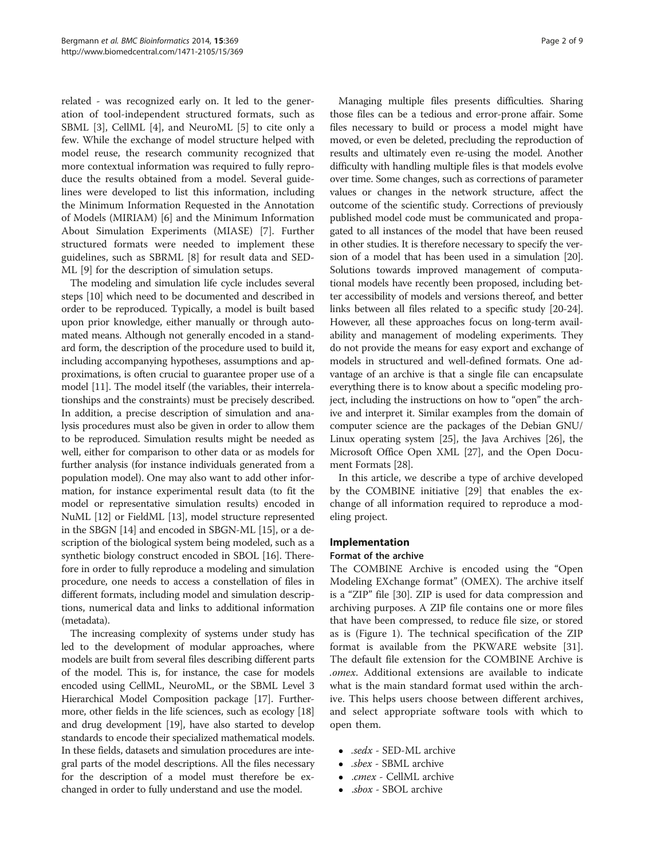related - was recognized early on. It led to the generation of tool-independent structured formats, such as SBML [\[3](#page-7-0)], CellML [\[4](#page-7-0)], and NeuroML [\[5\]](#page-7-0) to cite only a few. While the exchange of model structure helped with model reuse, the research community recognized that more contextual information was required to fully reproduce the results obtained from a model. Several guidelines were developed to list this information, including the Minimum Information Requested in the Annotation of Models (MIRIAM) [[6\]](#page-7-0) and the Minimum Information About Simulation Experiments (MIASE) [\[7](#page-7-0)]. Further structured formats were needed to implement these guidelines, such as SBRML [\[8](#page-7-0)] for result data and SED-ML [\[9](#page-7-0)] for the description of simulation setups.

The modeling and simulation life cycle includes several steps [[10](#page-7-0)] which need to be documented and described in order to be reproduced. Typically, a model is built based upon prior knowledge, either manually or through automated means. Although not generally encoded in a standard form, the description of the procedure used to build it, including accompanying hypotheses, assumptions and approximations, is often crucial to guarantee proper use of a model [[11](#page-7-0)]. The model itself (the variables, their interrelationships and the constraints) must be precisely described. In addition, a precise description of simulation and analysis procedures must also be given in order to allow them to be reproduced. Simulation results might be needed as well, either for comparison to other data or as models for further analysis (for instance individuals generated from a population model). One may also want to add other information, for instance experimental result data (to fit the model or representative simulation results) encoded in NuML [\[12\]](#page-7-0) or FieldML [\[13\]](#page-7-0), model structure represented in the SBGN [\[14](#page-7-0)] and encoded in SBGN-ML [[15](#page-7-0)], or a description of the biological system being modeled, such as a synthetic biology construct encoded in SBOL [\[16](#page-7-0)]. Therefore in order to fully reproduce a modeling and simulation procedure, one needs to access a constellation of files in different formats, including model and simulation descriptions, numerical data and links to additional information (metadata).

The increasing complexity of systems under study has led to the development of modular approaches, where models are built from several files describing different parts of the model. This is, for instance, the case for models encoded using CellML, NeuroML, or the SBML Level 3 Hierarchical Model Composition package [[17](#page-7-0)]. Furthermore, other fields in the life sciences, such as ecology [[18](#page-7-0)] and drug development [\[19\]](#page-7-0), have also started to develop standards to encode their specialized mathematical models. In these fields, datasets and simulation procedures are integral parts of the model descriptions. All the files necessary for the description of a model must therefore be exchanged in order to fully understand and use the model.

Managing multiple files presents difficulties. Sharing those files can be a tedious and error-prone affair. Some files necessary to build or process a model might have moved, or even be deleted, precluding the reproduction of results and ultimately even re-using the model. Another difficulty with handling multiple files is that models evolve over time. Some changes, such as corrections of parameter values or changes in the network structure, affect the outcome of the scientific study. Corrections of previously published model code must be communicated and propagated to all instances of the model that have been reused in other studies. It is therefore necessary to specify the version of a model that has been used in a simulation [[20](#page-7-0)]. Solutions towards improved management of computational models have recently been proposed, including better accessibility of models and versions thereof, and better links between all files related to a specific study [[20](#page-7-0)-[24](#page-7-0)]. However, all these approaches focus on long-term availability and management of modeling experiments. They do not provide the means for easy export and exchange of models in structured and well-defined formats. One advantage of an archive is that a single file can encapsulate everything there is to know about a specific modeling project, including the instructions on how to "open" the archive and interpret it. Similar examples from the domain of computer science are the packages of the Debian GNU/ Linux operating system [[25](#page-7-0)], the Java Archives [[26](#page-7-0)], the Microsoft Office Open XML [[27](#page-7-0)], and the Open Document Formats [[28](#page-7-0)].

In this article, we describe a type of archive developed by the COMBINE initiative [\[29](#page-7-0)] that enables the exchange of all information required to reproduce a modeling project.

## Implementation

#### Format of the archive

The COMBINE Archive is encoded using the "Open Modeling EXchange format" (OMEX). The archive itself is a "ZIP" file [[30\]](#page-7-0). ZIP is used for data compression and archiving purposes. A ZIP file contains one or more files that have been compressed, to reduce file size, or stored as is (Figure [1\)](#page-2-0). The technical specification of the ZIP format is available from the PKWARE website [\[31](#page-7-0)]. The default file extension for the COMBINE Archive is .omex. Additional extensions are available to indicate what is the main standard format used within the archive. This helps users choose between different archives, and select appropriate software tools with which to open them.

- .sedx SED-ML archive
- *.sbex* SBML archive
- .cmex CellML archive
- .sbox SBOL archive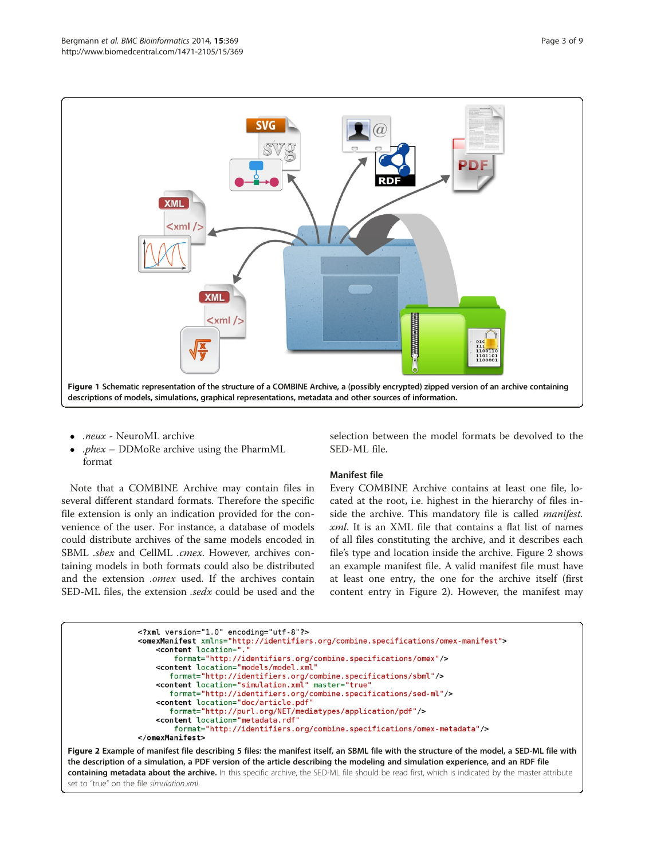<span id="page-2-0"></span>

- *.neux* NeuroML archive
- .*phex* DDMoRe archive using the PharmML format

Note that a COMBINE Archive may contain files in several different standard formats. Therefore the specific file extension is only an indication provided for the convenience of the user. For instance, a database of models could distribute archives of the same models encoded in SBML .sbex and CellML .cmex. However, archives containing models in both formats could also be distributed and the extension .omex used. If the archives contain SED-ML files, the extension .sedx could be used and the selection between the model formats be devolved to the SED-ML file.

## Manifest file

Every COMBINE Archive contains at least one file, located at the root, i.e. highest in the hierarchy of files inside the archive. This mandatory file is called *manifest*. xml. It is an XML file that contains a flat list of names of all files constituting the archive, and it describes each file's type and location inside the archive. Figure 2 shows an example manifest file. A valid manifest file must have at least one entry, the one for the archive itself (first content entry in Figure 2). However, the manifest may

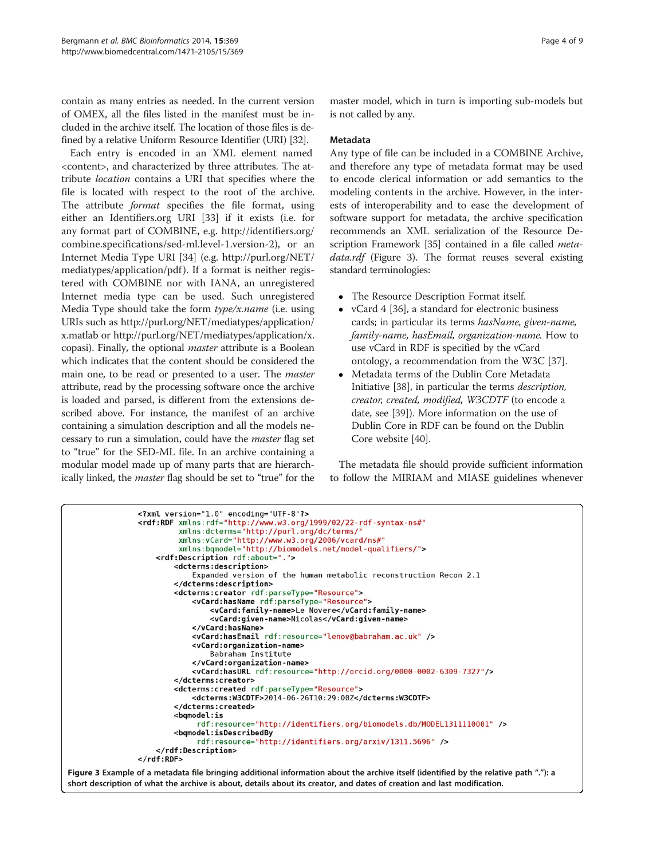contain as many entries as needed. In the current version of OMEX, all the files listed in the manifest must be included in the archive itself. The location of those files is defined by a relative Uniform Resource Identifier (URI) [\[32\]](#page-7-0).

Each entry is encoded in an XML element named <content>, and characterized by three attributes. The attribute location contains a URI that specifies where the file is located with respect to the root of the archive. The attribute *format* specifies the file format, using either an Identifiers.org URI [\[33](#page-7-0)] if it exists (i.e. for any format part of COMBINE, e.g. [http://identifiers.org/](http://identifiers.org/combine.specifications/sed-ml.level-1.version-2) [combine.specifications/sed-ml.level-1.version-2](http://identifiers.org/combine.specifications/sed-ml.level-1.version-2)), or an Internet Media Type URI [[34\]](#page-7-0) (e.g. [http://purl.org/NET/](http://purl.org/NET/mediatypes/application/pdf) [mediatypes/application/pdf](http://purl.org/NET/mediatypes/application/pdf) ). If a format is neither registered with COMBINE nor with IANA, an unregistered Internet media type can be used. Such unregistered Media Type should take the form type/x.name (i.e. using URIs such as [http://purl.org/NET/mediatypes/application/](http://purl.org/NET/mediatypes/application/x.matlab) [x.matlab](http://purl.org/NET/mediatypes/application/x.matlab) or [http://purl.org/NET/mediatypes/application/x.](http://purl.org/NET/mediatypes/application/x.copasi) [copasi\)](http://purl.org/NET/mediatypes/application/x.copasi). Finally, the optional master attribute is a Boolean which indicates that the content should be considered the main one, to be read or presented to a user. The *master* attribute, read by the processing software once the archive is loaded and parsed, is different from the extensions described above. For instance, the manifest of an archive containing a simulation description and all the models necessary to run a simulation, could have the master flag set to "true" for the SED-ML file. In an archive containing a modular model made up of many parts that are hierarchically linked, the master flag should be set to "true" for the

master model, which in turn is importing sub-models but is not called by any.

## Metadata

Any type of file can be included in a COMBINE Archive, and therefore any type of metadata format may be used to encode clerical information or add semantics to the modeling contents in the archive. However, in the interests of interoperability and to ease the development of software support for metadata, the archive specification recommends an XML serialization of the Resource De-scription Framework [[35](#page-7-0)] contained in a file called *meta*data.rdf (Figure 3). The format reuses several existing standard terminologies:

- The Resource Description Format itself.
- vCard 4 [[36](#page-7-0)], a standard for electronic business cards; in particular its terms hasName, given-name, family-name, hasEmail, organization-name. How to use vCard in RDF is specified by the vCard ontology, a recommendation from the W3C [\[37\]](#page-7-0).
- Metadata terms of the Dublin Core Metadata Initiative [\[38\]](#page-7-0), in particular the terms description, creator, created, modified, W3CDTF (to encode a date, see [\[39\]](#page-7-0)). More information on the use of Dublin Core in RDF can be found on the Dublin Core website [\[40\]](#page-7-0).

The metadata file should provide sufficient information to follow the MIRIAM and MIASE guidelines whenever

```
<?xml version="1.0" encoding="UTF-8"?>
<rdf:RDF xmlns:rdf="http://www.w3.org/1999/02/22-rdf-syntax-ns#"
         xmlns:dcterms="http://purl.org/dc/terms/
         xmlns: vCard="http://www.w3.org/2006/vcard/ns#'
         xmlns:bqmodel="http://biomodels.net/model-qualifiers/">
   <rdf:Description rdf:about=".">
        <dcterms:description>
            Expanded version of the human metabolic reconstruction Recon 2.1
        </dcterms:description>
        <dcterms:creator rdf:parseType="Resource">
            <vCard:hasName rdf:parseType="Resource">
                <vCard:family-name>Le Novere</vCard:family-name>
                <vCard:given-name>Nicolas</vCard:given-name>
            </vCard:hasName>
            <vCard:hasEmail rdf:resource="lenov@babraham.ac.uk" />
            <vCard:organization-name>
                Babraham Institute
            </vCard:organization-name>
            <vCard:hasURL rdf:resource="http://orcid.org/0000-0002-6309-7327"/>
        </dcterms:creator>
        <dcterms:created rdf:parseType="Resource">
            <dcterms:W3CDTF>2014-06-26T10:29:00Z</dcterms:W3CDTF>
        </dcterms:created>
        <bqmodel:is
             rdf:resource="http://identifiers.org/biomodels.db/MODEL1311110001" />
        <bqmodel:isDescribedBy
             rdf:resource="http://identifiers.org/arxiv/1311.5696" />
    </rdf:Description>
\lt/rdf:RDF>
```
Figure 3 Example of a metadata file bringing additional information about the archive itself (identified by the relative path "."): a short description of what the archive is about, details about its creator, and dates of creation and last modification.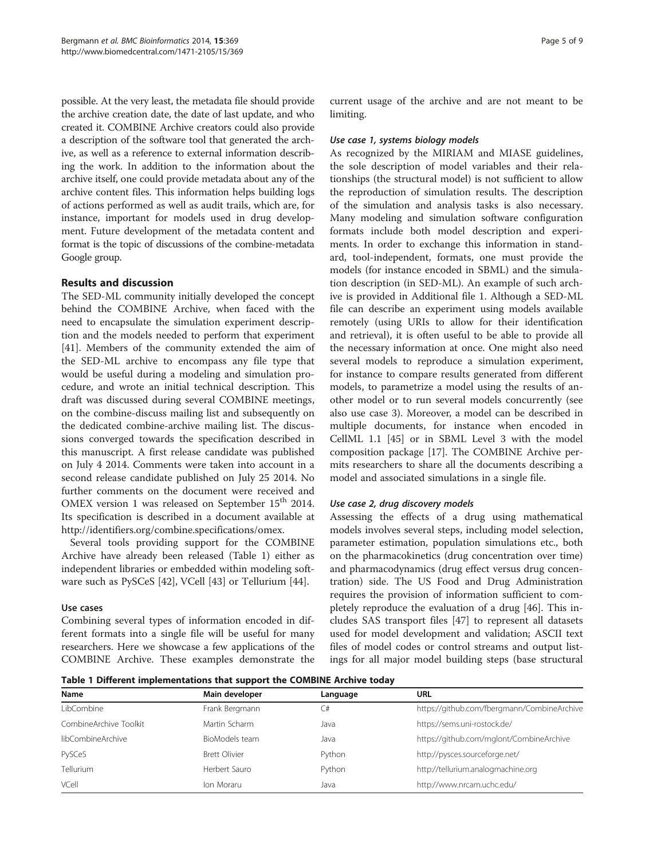possible. At the very least, the metadata file should provide the archive creation date, the date of last update, and who created it. COMBINE Archive creators could also provide a description of the software tool that generated the archive, as well as a reference to external information describing the work. In addition to the information about the archive itself, one could provide metadata about any of the archive content files. This information helps building logs of actions performed as well as audit trails, which are, for instance, important for models used in drug development. Future development of the metadata content and format is the topic of discussions of the combine-metadata Google group.

## Results and discussion

The SED-ML community initially developed the concept behind the COMBINE Archive, when faced with the need to encapsulate the simulation experiment description and the models needed to perform that experiment [[41\]](#page-7-0). Members of the community extended the aim of the SED-ML archive to encompass any file type that would be useful during a modeling and simulation procedure, and wrote an initial technical description. This draft was discussed during several COMBINE meetings, on the combine-discuss mailing list and subsequently on the dedicated combine-archive mailing list. The discussions converged towards the specification described in this manuscript. A first release candidate was published on July 4 2014. Comments were taken into account in a second release candidate published on July 25 2014. No further comments on the document were received and OMEX version 1 was released on September 15<sup>th</sup> 2014. Its specification is described in a document available at [http://identifiers.org/combine.specifications/omex.](http://identifiers.org/combine.specifications/omex)

Several tools providing support for the COMBINE Archive have already been released (Table 1) either as independent libraries or embedded within modeling software such as PySCeS [\[42\]](#page-7-0), VCell [[43](#page-7-0)] or Tellurium [\[44](#page-7-0)].

## Use cases

Combining several types of information encoded in different formats into a single file will be useful for many researchers. Here we showcase a few applications of the COMBINE Archive. These examples demonstrate the

current usage of the archive and are not meant to be limiting.

## Use case 1, systems biology models

As recognized by the MIRIAM and MIASE guidelines, the sole description of model variables and their relationships (the structural model) is not sufficient to allow the reproduction of simulation results. The description of the simulation and analysis tasks is also necessary. Many modeling and simulation software configuration formats include both model description and experiments. In order to exchange this information in standard, tool-independent, formats, one must provide the models (for instance encoded in SBML) and the simulation description (in SED-ML). An example of such archive is provided in Additional file [1](#page-6-0). Although a SED-ML file can describe an experiment using models available remotely (using URIs to allow for their identification and retrieval), it is often useful to be able to provide all the necessary information at once. One might also need several models to reproduce a simulation experiment, for instance to compare results generated from different models, to parametrize a model using the results of another model or to run several models concurrently (see also use case 3). Moreover, a model can be described in multiple documents, for instance when encoded in CellML 1.1 [[45](#page-7-0)] or in SBML Level 3 with the model composition package [\[17](#page-7-0)]. The COMBINE Archive permits researchers to share all the documents describing a model and associated simulations in a single file.

## Use case 2, drug discovery models

Assessing the effects of a drug using mathematical models involves several steps, including model selection, parameter estimation, population simulations etc., both on the pharmacokinetics (drug concentration over time) and pharmacodynamics (drug effect versus drug concentration) side. The US Food and Drug Administration requires the provision of information sufficient to completely reproduce the evaluation of a drug [[46\]](#page-8-0). This includes SAS transport files [[47\]](#page-8-0) to represent all datasets used for model development and validation; ASCII text files of model codes or control streams and output listings for all major model building steps (base structural

Table 1 Different implementations that support the COMBINE Archive today

| Name                   | Main developer       | Language | URL                                         |
|------------------------|----------------------|----------|---------------------------------------------|
| LibCombine             | Frank Bergmann       | -#       | https://github.com/fbergmann/CombineArchive |
| CombineArchive Toolkit | Martin Scharm        | Java     | https://sems.uni-rostock.de/                |
| libCombineArchive      | BioModels team       | Java     | https://github.com/mglont/CombineArchive    |
| PySCeS                 | <b>Brett Olivier</b> | Python   | http://pysces.sourceforge.net/              |
| Tellurium              | Herbert Sauro        | Python   | http://tellurium.analogmachine.org          |
| VCell                  | Ion Moraru           | Java     | http://www.nrcam.uchc.edu/                  |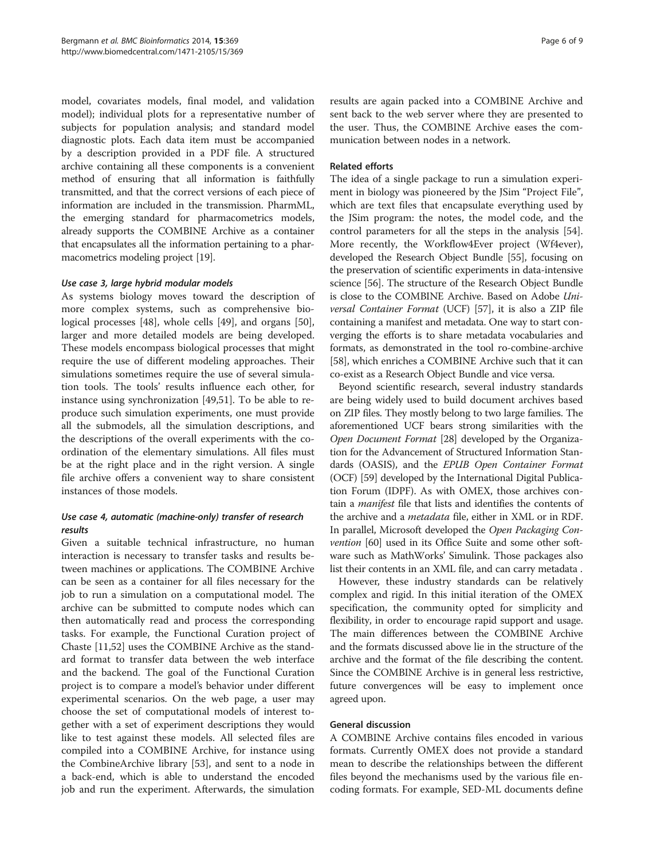model, covariates models, final model, and validation model); individual plots for a representative number of subjects for population analysis; and standard model diagnostic plots. Each data item must be accompanied by a description provided in a PDF file. A structured archive containing all these components is a convenient method of ensuring that all information is faithfully transmitted, and that the correct versions of each piece of information are included in the transmission. PharmML, the emerging standard for pharmacometrics models, already supports the COMBINE Archive as a container that encapsulates all the information pertaining to a pharmacometrics modeling project [\[19\]](#page-7-0).

## Use case 3, large hybrid modular models

As systems biology moves toward the description of more complex systems, such as comprehensive biological processes [\[48](#page-8-0)], whole cells [[49\]](#page-8-0), and organs [\[50](#page-8-0)], larger and more detailed models are being developed. These models encompass biological processes that might require the use of different modeling approaches. Their simulations sometimes require the use of several simulation tools. The tools' results influence each other, for instance using synchronization [[49,51\]](#page-8-0). To be able to reproduce such simulation experiments, one must provide all the submodels, all the simulation descriptions, and the descriptions of the overall experiments with the coordination of the elementary simulations. All files must be at the right place and in the right version. A single file archive offers a convenient way to share consistent instances of those models.

## Use case 4, automatic (machine-only) transfer of research results

Given a suitable technical infrastructure, no human interaction is necessary to transfer tasks and results between machines or applications. The COMBINE Archive can be seen as a container for all files necessary for the job to run a simulation on a computational model. The archive can be submitted to compute nodes which can then automatically read and process the corresponding tasks. For example, the Functional Curation project of Chaste [[11](#page-7-0),[52](#page-8-0)] uses the COMBINE Archive as the standard format to transfer data between the web interface and the backend. The goal of the Functional Curation project is to compare a model's behavior under different experimental scenarios. On the web page, a user may choose the set of computational models of interest together with a set of experiment descriptions they would like to test against these models. All selected files are compiled into a COMBINE Archive, for instance using the CombineArchive library [[53\]](#page-8-0), and sent to a node in a back-end, which is able to understand the encoded job and run the experiment. Afterwards, the simulation

results are again packed into a COMBINE Archive and sent back to the web server where they are presented to the user. Thus, the COMBINE Archive eases the communication between nodes in a network.

## Related efforts

The idea of a single package to run a simulation experiment in biology was pioneered by the JSim "Project File", which are text files that encapsulate everything used by the JSim program: the notes, the model code, and the control parameters for all the steps in the analysis [\[54](#page-8-0)]. More recently, the Workflow4Ever project (Wf4ever), developed the Research Object Bundle [[55](#page-8-0)], focusing on the preservation of scientific experiments in data-intensive science [[56](#page-8-0)]. The structure of the Research Object Bundle is close to the COMBINE Archive. Based on Adobe Universal Container Format (UCF) [\[57\]](#page-8-0), it is also a ZIP file containing a manifest and metadata. One way to start converging the efforts is to share metadata vocabularies and formats, as demonstrated in the tool ro-combine-archive [[58](#page-8-0)], which enriches a COMBINE Archive such that it can co-exist as a Research Object Bundle and vice versa.

Beyond scientific research, several industry standards are being widely used to build document archives based on ZIP files. They mostly belong to two large families. The aforementioned UCF bears strong similarities with the Open Document Format [[28](#page-7-0)] developed by the Organization for the Advancement of Structured Information Standards (OASIS), and the EPUB Open Container Format (OCF) [\[59\]](#page-8-0) developed by the International Digital Publication Forum (IDPF). As with OMEX, those archives contain a manifest file that lists and identifies the contents of the archive and a metadata file, either in XML or in RDF. In parallel, Microsoft developed the Open Packaging Convention [\[60\]](#page-8-0) used in its Office Suite and some other software such as MathWorks' Simulink. Those packages also list their contents in an XML file, and can carry metadata .

However, these industry standards can be relatively complex and rigid. In this initial iteration of the OMEX specification, the community opted for simplicity and flexibility, in order to encourage rapid support and usage. The main differences between the COMBINE Archive and the formats discussed above lie in the structure of the archive and the format of the file describing the content. Since the COMBINE Archive is in general less restrictive, future convergences will be easy to implement once agreed upon.

#### General discussion

A COMBINE Archive contains files encoded in various formats. Currently OMEX does not provide a standard mean to describe the relationships between the different files beyond the mechanisms used by the various file encoding formats. For example, SED-ML documents define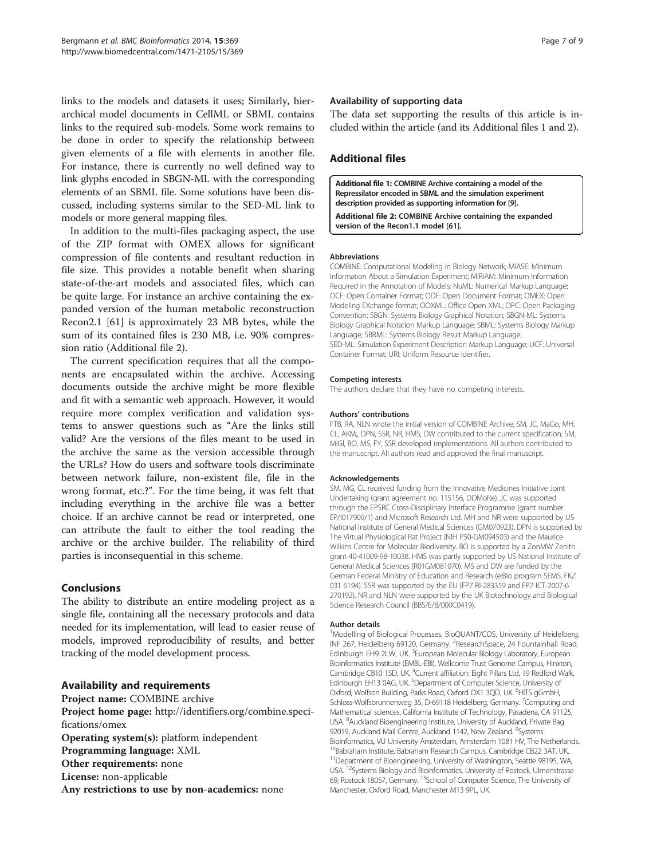<span id="page-6-0"></span>links to the models and datasets it uses; Similarly, hierarchical model documents in CellML or SBML contains links to the required sub-models. Some work remains to be done in order to specify the relationship between given elements of a file with elements in another file. For instance, there is currently no well defined way to link glyphs encoded in SBGN-ML with the corresponding elements of an SBML file. Some solutions have been discussed, including systems similar to the SED-ML link to models or more general mapping files.

In addition to the multi-files packaging aspect, the use of the ZIP format with OMEX allows for significant compression of file contents and resultant reduction in file size. This provides a notable benefit when sharing state-of-the-art models and associated files, which can be quite large. For instance an archive containing the expanded version of the human metabolic reconstruction Recon2.1 [\[61](#page-8-0)] is approximately 23 MB bytes, while the sum of its contained files is 230 MB, i.e. 90% compression ratio (Additional file 2).

The current specification requires that all the components are encapsulated within the archive. Accessing documents outside the archive might be more flexible and fit with a semantic web approach. However, it would require more complex verification and validation systems to answer questions such as "Are the links still valid? Are the versions of the files meant to be used in the archive the same as the version accessible through the URLs? How do users and software tools discriminate between network failure, non-existent file, file in the wrong format, etc.?". For the time being, it was felt that including everything in the archive file was a better choice. If an archive cannot be read or interpreted, one can attribute the fault to either the tool reading the archive or the archive builder. The reliability of third parties is inconsequential in this scheme.

## Conclusions

The ability to distribute an entire modeling project as a single file, containing all the necessary protocols and data needed for its implementation, will lead to easier reuse of models, improved reproducibility of results, and better tracking of the model development process.

## Availability and requirements

Project name: COMBINE archive Project home page: [http://identifiers.org/combine.speci](http://identifiers.org/combine.specifications/omex)[fications/omex](http://identifiers.org/combine.specifications/omex) Operating system(s): platform independent Programming language: XML Other requirements: none License: non-applicable Any restrictions to use by non-academics: none

## Availability of supporting data

The data set supporting the results of this article is included within the article (and its Additional files 1 and 2).

## Additional files

[Additional file 1:](http://www.biomedcentral.com/content/supplementary/s12859-014-0369-z-s1.zip) COMBINE Archive containing a model of the Repressilator encoded in SBML and the simulation experiment description provided as supporting information for [\[9](#page-7-0)]. [Additional file 2:](http://www.biomedcentral.com/content/supplementary/s12859-014-0369-z-s2.zip) COMBINE Archive containing the expanded version of the Recon1.1 model [\[61](#page-8-0)].

#### Abbreviations

COMBINE: Computational Modeling in Biology Network; MIASE: Minimum Information About a Simulation Experiment; MIRIAM: Minimum Information Required in the Annotation of Models; NuML: Numerical Markup Language; OCF: Open Container Format; ODF: Open Document Format; OMEX: Open Modeling EXchange format; OOXML: Office Open XML; OPC: Open Packaging Convention; SBGN: Systems Biology Graphical Notation; SBGN-ML: Systems Biology Graphical Notation Markup Language; SBML: Systems Biology Markup Language; SBRML: Systems Biology Result Markup Language; SED-ML: Simulation Experiment Description Markup Language; UCF: Universal Container Format; URI: Uniform Resource Identifier.

#### Competing interests

The authors declare that they have no competing interests.

#### Authors' contributions

FTB, RA, NLN wrote the initial version of COMBINE Archive, SM, JC, MaGo, MH, CL, AKM,, DPN, SSR, NR, HMS, DW contributed to the current specification, SM, MiGl, BO, MS, FY, SSR developed implementations. All authors contributed to the manuscript. All authors read and approved the final manuscript.

#### Acknowledgements

SM, MG, CL received funding from the Innovative Medicines Initiative Joint Undertaking (grant agreement no. 115156, DDMoRe). JC was supported through the EPSRC Cross-Disciplinary Interface Programme (grant number EP/I017909/1) and Microsoft Research Ltd. MH and NR were supported by US National Institute of General Medical Sciences (GM070923). DPN is supported by The Virtual Physiological Rat Project (NIH P50-GM094503) and the Maurice Wilkins Centre for Molecular Biodiversity. BO is supported by a ZonMW Zenith grant 40-41009-98-10038. HMS was partly supported by US National Institute of General Medical Sciences (R01GM081070). MS and DW are funded by the German Federal Ministry of Education and Research (e:Bio program SEMS, FKZ 031 6194). SSR was supported by the EU (FP7 RI-283359 and FP7-ICT-2007-6 270192). NR and NLN were supported by the UK Biotechnology and Biological Science Research Council (BBS/E/B/000C0419).

#### Author details

<sup>1</sup>Modelling of Biological Processes, BioQUANT/COS, University of Heidelberg, INF 267, Heidelberg 69120, Germany. <sup>2</sup>ResearchSpace, 24 Fountainhall Road Edinburgh EH9 2LW, UK. <sup>3</sup>European Molecular Biology Laboratory, European Bioinformatics Institute (EMBL-EBI), Wellcome Trust Genome Campus, Hinxton, Cambridge CB10 1SD, UK. <sup>4</sup>Current affiliation: Eight Pillars Ltd, 19 Redford Walk Edinburgh EH13 0AG, UK.<sup>5</sup>Department of Computer Science, University of Oxford, Wolfson Building, Parks Road, Oxford OX1 3QD, UK. <sup>6</sup>HITS gGmbH Schloss-Wolfsbrunnenweg 35, D-69118 Heidelberg, Germany. <sup>7</sup>Computing and Mathematical sciences, California Institute of Technology, Pasadena, CA 91125, USA. <sup>8</sup>Auckland Bioengineering Institute, University of Auckland, Private Bag 92019, Auckland Mail Centre, Auckland 1142, New Zealand. <sup>9</sup>Systems Bioinformatics, VU University Amsterdam, Amsterdam 1081 HV, The Netherlands. <sup>u</sup>Babraham Institute, Babraham Research Campus, Cambridge CB22 3AT, UK. 11Department of Bioengineering, University of Washington, Seattle 98195, WA, USA. 12Systems Biology and Bioinformatics, University of Rostock, Ulmenstrasse 69, Rostock 18057, Germany. 13School of Computer Science, The University of Manchester, Oxford Road, Manchester M13 9PL, UK.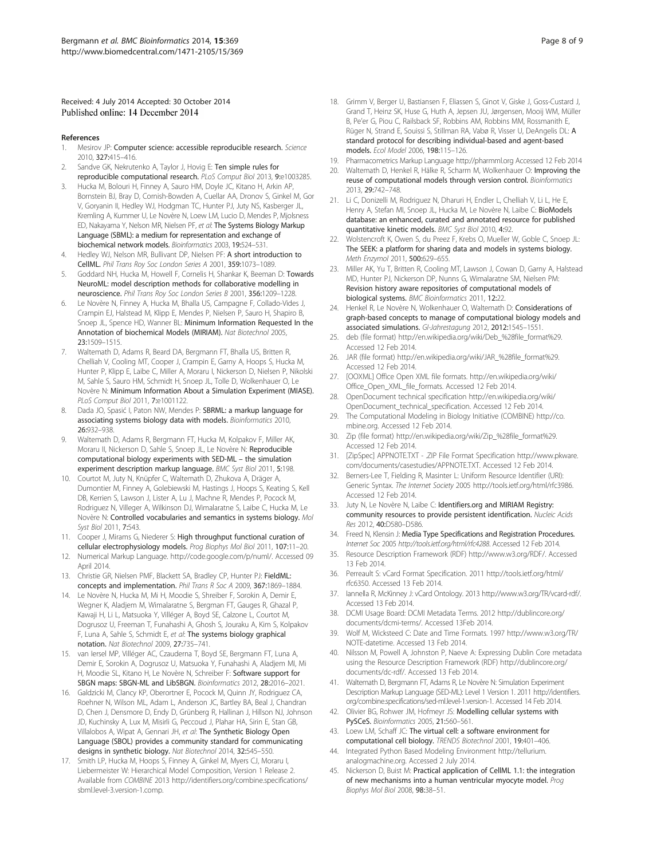#### <span id="page-7-0"></span>Received: 4 July 2014 Accepted: 30 October 2014 Published online: 14 December 2014

#### References

- 1. Mesirov JP: Computer science: accessible reproducible research. Science 2010, 327:415–416.
- 2. Sandve GK, Nekrutenko A, Taylor J, Hovig E: Ten simple rules for reproducible computational research. PLoS Comput Biol 2013, 9:e1003285.
- 3. Hucka M, Bolouri H, Finney A, Sauro HM, Doyle JC, Kitano H, Arkin AP, Bornstein BJ, Bray D, Cornish-Bowden A, Cuellar AA, Dronov S, Ginkel M, Gor V, Goryanin II, Hedley WJ, Hodgman TC, Hunter PJ, Juty NS, Kasberger JL, Kremling A, Kummer U, Le Novère N, Loew LM, Lucio D, Mendes P, Mjolsness ED, Nakayama Y, Nelson MR, Nielsen PF, et al: The Systems Biology Markup Language (SBML): a medium for representation and exchange of biochemical network models. Bioinformatics 2003, 19:524–531.
- 4. Hedley WJ, Nelson MR, Bullivant DP, Nielsen PF: A short introduction to CellML. Phil Trans Roy Soc London Series A 2001, 359:1073–1089.
- 5. Goddard NH, Hucka M, Howell F, Cornelis H, Shankar K, Beeman D: Towards NeuroML: model description methods for collaborative modelling in neuroscience. Phil Trans Roy Soc London Series B 2001, 356:1209–1228.
- Le Novère N, Finney A, Hucka M, Bhalla US, Campagne F, Collado-Vides J, Crampin EJ, Halstead M, Klipp E, Mendes P, Nielsen P, Sauro H, Shapiro B, Snoep JL, Spence HD, Wanner BL: Minimum Information Requested In the Annotation of biochemical Models (MIRIAM). Nat Biotechnol 2005, 23:1509–1515.
- 7. Waltemath D, Adams R, Beard DA, Bergmann FT, Bhalla US, Britten R, Chelliah V, Cooling MT, Cooper J, Crampin E, Garny A, Hoops S, Hucka M, Hunter P, Klipp E, Laibe C, Miller A, Moraru I, Nickerson D, Nielsen P, Nikolski M, Sahle S, Sauro HM, Schmidt H, Snoep JL, Tolle D, Wolkenhauer O, Le Novère N: Minimum Information About a Simulation Experiment (MIASE). PLoS Comput Biol 2011, 7:e1001122.
- 8. Dada JO, Spasić I, Paton NW, Mendes P: SBRML: a markup language for associating systems biology data with models. Bioinformatics 2010, 26:932–938.
- 9. Waltemath D, Adams R, Bergmann FT, Hucka M, Kolpakov F, Miller AK, Moraru II, Nickerson D, Sahle S, Snoep JL, Le Novère N: Reproducible computational biology experiments with SED-ML – the simulation experiment description markup language. BMC Syst Biol 2011, 5:198.
- 10. Courtot M, Juty N, Knüpfer C, Waltemath D, Zhukova A, Dräger A, Dumontier M, Finney A, Golebiewski M, Hastings J, Hoops S, Keating S, Kell DB, Kerrien S, Lawson J, Lister A, Lu J, Machne R, Mendes P, Pocock M, Rodriguez N, Villeger A, Wilkinson DJ, Wimalaratne S, Laibe C, Hucka M, Le Novère N: Controlled vocabularies and semantics in systems biology. Mol Syst Biol 2011, 7:543.
- 11. Cooper J, Mirams G, Niederer S: High throughput functional curation of cellular electrophysiology models. Prog Biophys Mol Biol 2011, 107:11–20.
- 12. Numerical Markup Language. [http://code.google.com/p/numl/.](http://code.google.com/p/numl/) Accessed 09 April 2014.
- 13. Christie GR, Nielsen PMF, Blackett SA, Bradley CP, Hunter PJ: FieldML: concepts and implementation. Phil Trans R Soc A 2009, 367:1869–1884.
- 14. Le Novère N, Hucka M, Mi H, Moodie S, Shreiber F, Sorokin A, Demir E, Wegner K, Aladjem M, Wimalaratne S, Bergman FT, Gauges R, Ghazal P, Kawaji H, Li L, Matsuoka Y, Villéger A, Boyd SE, Calzone L, Courtot M, Dogrusoz U, Freeman T, Funahashi A, Ghosh S, Jouraku A, Kim S, Kolpakov F, Luna A, Sahle S, Schmidt E, et al: The systems biology graphical notation. Nat Biotechnol 2009, 27:735–741.
- 15. van Iersel MP, Villéger AC, Czauderna T, Boyd SE, Bergmann FT, Luna A, Demir E, Sorokin A, Dogrusoz U, Matsuoka Y, Funahashi A, Aladjem MI, Mi H, Moodie SL, Kitano H, Le Novère N, Schreiber F: Software support for SBGN maps: SBGN-ML and LibSBGN. Bioinformatics 2012, 28:2016–2021.
- 16. Galdzicki M, Clancy KP, Oberortner E, Pocock M, Quinn JY, Rodriguez CA, Roehner N, Wilson ML, Adam L, Anderson JC, Bartley BA, Beal J, Chandran D, Chen J, Densmore D, Endy D, Grünberg R, Hallinan J, Hillson NJ, Johnson JD, Kuchinsky A, Lux M, Misirli G, Peccoud J, Plahar HA, Sirin E, Stan GB, Villalobos A, Wipat A, Gennari JH, et al: The Synthetic Biology Open Language (SBOL) provides a community standard for communicating designs in synthetic biology. Nat Biotechnol 2014, 32:545–550.
- 17. Smith LP, Hucka M, Hoops S, Finney A, Ginkel M, Myers CJ, Moraru I, Liebermeister W: Hierarchical Model Composition, Version 1 Release 2. Available from COMBINE 2013 [http://identifiers.org/combine.specifications/](http://identifiers.org/combine.specifications/sbml.level-3.version-1.comp) [sbml.level-3.version-1.comp.](http://identifiers.org/combine.specifications/sbml.level-3.version-1.comp)
- 18. Grimm V, Berger U, Bastiansen F, Eliassen S, Ginot V, Giske J, Goss-Custard J, Grand T, Heinz SK, Huse G, Huth A, Jepsen JU, Jørgensen, Mooij WM, Müller B, Pe'er G, Piou C, Railsback SF, Robbins AM, Robbins MM, Rossmanith E, Rüger N, Strand E, Souissi S, Stillman RA, Vabø R, Visser U, DeAngelis DL: A standard protocol for describing individual-based and agent-based models. Ecol Model 2006, 198:115–126.
- 19. Pharmacometrics Markup Language<http://pharmml.org> Accessed 12 Feb 2014
- 20. Waltemath D, Henkel R, Hälke R, Scharm M, Wolkenhauer O: Improving the reuse of computational models through version control. Bioinformatics 2013, 29:742–748.
- 21. Li C, Donizelli M, Rodriguez N, Dharuri H, Endler L, Chelliah V, Li L, He E, Henry A, Stefan MI, Snoep JL, Hucka M, Le Novère N, Laibe C; BioModels database: an enhanced, curated and annotated resource for published quantitative kinetic models. BMC Syst Biol 2010, 4:92.
- 22. Wolstencroft K, Owen S, du Preez F, Krebs O, Mueller W, Goble C, Snoep JL: The SEEK: a platform for sharing data and models in systems biology. Meth Enzymol 2011, 500:629–655.
- 23. Miller AK, Yu T, Britten R, Cooling MT, Lawson J, Cowan D, Garny A, Halstead MD, Hunter PJ, Nickerson DP, Nunns G, Wimalaratne SM, Nielsen PM: Revision history aware repositories of computational models of biological systems. BMC Bioinformatics 2011, 12:22.
- 24. Henkel R, Le Novère N, Wolkenhauer O, Waltemath D: Considerations of graph-based concepts to manage of computational biology models and associated simulations. GI-Jahrestagung 2012, 2012:1545-1551
- 25. deb (file format) [http://en.wikipedia.org/wiki/Deb\\_%28file\\_format%29](http://en.wikipedia.org/wiki/Deb_%28file_format%29). Accessed 12 Feb 2014.
- 26. JAR (file format) [http://en.wikipedia.org/wiki/JAR\\_%28file\\_format%29.](http://en.wikipedia.org/wiki/JAR_%28file_format%29) Accessed 12 Feb 2014.
- 27. [OOXML] Office Open XML file formats. [http://en.wikipedia.org/wiki/](http://en.wikipedia.org/wiki/Office_Open_XML_file_formats) [Office\\_Open\\_XML\\_file\\_formats](http://en.wikipedia.org/wiki/Office_Open_XML_file_formats). Accessed 12 Feb 2014.
- 28. OpenDocument technical specification [http://en.wikipedia.org/wiki/](http://en.wikipedia.org/wiki/OpenDocument_technical_specification) [OpenDocument\\_technical\\_specification.](http://en.wikipedia.org/wiki/OpenDocument_technical_specification) Accessed 12 Feb 2014.
- 29. The Computational Modeling in Biology Initiative (COMBINE) [http://co.](http://co.mbine.org) [mbine.org.](http://co.mbine.org) Accessed 12 Feb 2014.
- 30. Zip (file format) [http://en.wikipedia.org/wiki/Zip\\_%28file\\_format%29.](http://en.wikipedia.org/wiki/Zip_%28file_format%29) Accessed 12 Feb 2014.
- 31. [ZipSpec] APPNOTE.TXT .ZIP File Format Specification [http://www.pkware.](http://www.pkware.com/documents/casestudies/APPNOTE.TXT) [com/documents/casestudies/APPNOTE.TXT.](http://www.pkware.com/documents/casestudies/APPNOTE.TXT) Accessed 12 Feb 2014.
- 32. Berners-Lee T, Fielding R, Masinter L: Uniform Resource Identifier (URI): Generic Syntax. The Internet Society 2005 [http://tools.ietf.org/html/rfc3986.](http://tools.ietf.org/html/rfc3986) Accessed 12 Feb 2014.
- 33. Juty N, Le Novère N, Laibe C: Identifiers.org and MIRIAM Registry: community resources to provide persistent identification. Nucleic Acids Res 2012, 40:D580–D586.
- 34. Freed N, Klensin J: Media Type Specifications and Registration Procedures. Internet Soc 2005 <http://tools.ietf.org/html/rfc4288>. Accessed 12 Feb 2014.
- 35. Resource Description Framework (RDF)<http://www.w3.org/RDF/>. Accessed 13 Feb 2014.
- 36. Perreault S: vCard Format Specification. 2011 [http://tools.ietf.org/html/](http://tools.ietf.org/html/rfc6350) [rfc6350](http://tools.ietf.org/html/rfc6350). Accessed 13 Feb 2014.
- 37. Iannella R, McKinney J: vCard Ontology. 2013 [http://www.w3.org/TR/vcard-rdf/.](http://www.w3.org/TR/vcard-rdf/) Accessed 13 Feb 2014.
- 38. DCMI Usage Board: DCMI Metadata Terms. 2012 [http://dublincore.org/](http://dublincore.org/documents/dcmi-terms/) [documents/dcmi-terms/](http://dublincore.org/documents/dcmi-terms/). Accessed 13Feb 2014.
- 39. Wolf M, Wicksteed C: Date and Time Formats. 1997 [http://www.w3.org/TR/](http://www.w3.org/TR/NOTE-datetime) [NOTE-datetime](http://www.w3.org/TR/NOTE-datetime). Accessed 13 Feb 2014.
- 40. Nilsson M, Powell A, Johnston P, Naeve A: Expressing Dublin Core metadata using the Resource Description Framework (RDF) [http://dublincore.org/](http://dublincore.org/documents/dc-rdf/) [documents/dc-rdf/.](http://dublincore.org/documents/dc-rdf/) Accessed 13 Feb 2014.
- 41. Waltemath D, Bergmann FT, Adams R, Le Novère N: Simulation Experiment Description Markup Language (SED-ML): Level 1 Version 1. 2011 [http://identifiers.](http://identifiers.org/combine.specifications/sed-ml.level-1.version-1) [org/combine.specifications/sed-ml.level-1.version-1.](http://identifiers.org/combine.specifications/sed-ml.level-1.version-1) Accessed 14 Feb 2014.
- 42. Olivier BG, Rohwer JM, Hofmeyr JS: Modelling cellular systems with PySCeS. Bioinformatics 2005, 21:560–561.
- 43. Loew LM, Schaff JC: The virtual cell: a software environment for computational cell biology. TRENDS Biotechnol 2001, 19:401–406.
- 44. Integrated Python Based Modeling Environment [http://tellurium.](http://tellurium.analogmachine.org) [analogmachine.org](http://tellurium.analogmachine.org). Accessed 2 July 2014.
- 45. Nickerson D, Buist M: Practical application of CellML 1.1: the integration of new mechanisms into a human ventricular myocyte model. Prog Biophys Mol Biol 2008, 98:38–51.